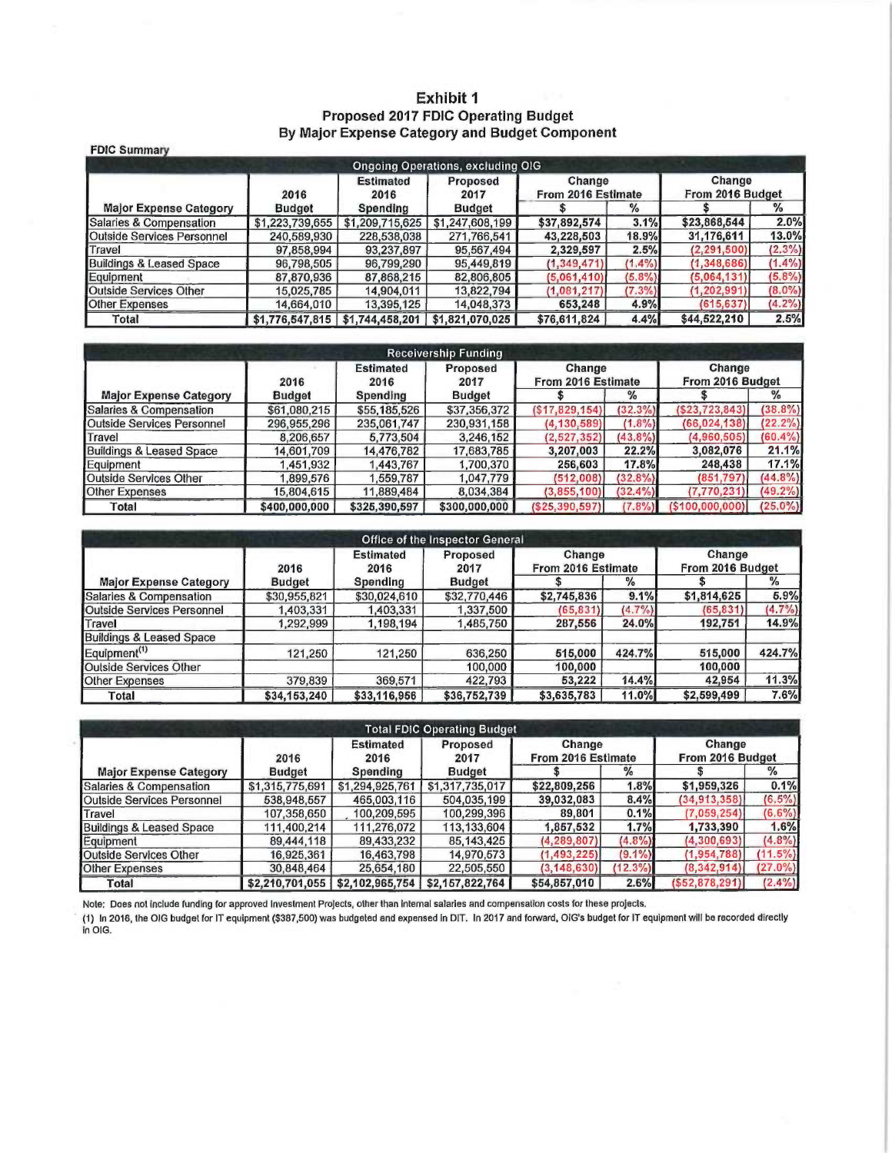#### Exhibit 1 Proposed 2017 FDIC Operating Budget By Major Expense Category and Budget Component

| <b>FDIC Summary</b>           |                                     |                          |                                          |                              |           |                            |           |
|-------------------------------|-------------------------------------|--------------------------|------------------------------------------|------------------------------|-----------|----------------------------|-----------|
|                               |                                     |                          | <b>Ongoing Operations, excluding OIG</b> |                              |           |                            |           |
|                               | 2016                                | <b>Estimated</b><br>2016 | Proposed<br>2017                         | Change<br>From 2016 Estimate |           | Change<br>From 2016 Budget |           |
| <b>Major Expense Category</b> | <b>Budget</b>                       | <b>Spending</b>          | Budget                                   |                              | $\%$      |                            | %         |
| Salaries & Compensation       | \$1,223,739,655                     | \$1,209,715,625          | \$1,247,608,199                          | \$37,892,574                 | 3.1%      | \$23,868,544               | 2.0%      |
| Outside Services Personnel    | 240,589,930                         | 228,538,038              | 271,766,541                              | 43,228,503                   | 18.9%     | 31,176,611                 | 13.0%     |
| Travel                        | 97,858,994                          | 93,237,897               | 95,567,494                               | 2,329,597                    | 2.5%      | (2, 291, 500)              | $(2.3\%)$ |
| Buildings & Leased Space      | 96,798,505                          | 96,799,290               | 95,449,819                               | (1, 349, 471)                | $(1.4\%)$ | (1,348,686)                | $(1.4\%)$ |
| Equipment                     | 87,870,936                          | 87,868,215               | 82,806,805                               | (5,061,410)                  | $(5.8\%)$ | (5,064,131)                | $(5.8\%)$ |
| Outside Services Other        | 15,025,785                          | 14,904,011               | 13,822,794                               | (1,081,217)                  | $(7.3\%)$ | (1, 202, 991)              | $(8.0\%)$ |
| <b>Other Expenses</b>         | 14,664,010                          | 13,395,125               | 14,048,373                               | 653,248                      | 4.9%      | (615, 637)                 | $(4.2\%)$ |
| Total                         | $$1,776,547,815$   $$1,744,458,201$ |                          | \$1,821,070,025                          | \$76,611,824                 | 4.4%      | \$44,522,210               | 2.5%      |

| <b>Receivership Funding</b>   |               |                                              |               |                              |            |                            |            |  |  |  |  |
|-------------------------------|---------------|----------------------------------------------|---------------|------------------------------|------------|----------------------------|------------|--|--|--|--|
|                               | 2016          | <b>Estimated</b><br>Proposed<br>2016<br>2017 |               | Change<br>From 2016 Estimate |            | Change<br>From 2016 Budget |            |  |  |  |  |
| <b>Major Expense Category</b> | <b>Budget</b> | Spending                                     | <b>Budget</b> |                              | %          |                            | $\%$       |  |  |  |  |
| Salaries & Compensation       | \$61,080,215  | \$55,185,526                                 | \$37,356,372  | (S17, 829, 154)              | $(32.3\%)$ | (\$23,723,843]             | $(38.8\%)$ |  |  |  |  |
| Outside Services Personnel    | 296,955,296   | 235,061.747                                  | 230,931,158   | (4, 130, 589)                | $(1.8\%)$  | (66, 024, 138)             | $(22.2\%)$ |  |  |  |  |
| Travel                        | 8,206,657     | 5,773,504                                    | 3,246,152     | (2, 527, 352)                | (43.8%     | (4,960,505)                | $(60.4\%)$ |  |  |  |  |
| Buildings & Leased Space      | 14,601,709    | 14,476,782                                   | 17,683,785    | 3,207,003                    | 22.2%      | 3,082,076                  | 21.1%      |  |  |  |  |
| Equipment                     | 1,451,932     | 1,443,767                                    | 1,700,370     | 256,603                      | 17.8%      | 248,438                    | 17.1%      |  |  |  |  |
| Outside Services Other        | 899,576       | .559,787                                     | 1,047,779     | (512,008)                    | $(32.8\%)$ | (851, 797)                 | $(44.8\%)$ |  |  |  |  |
| <b>Other Expenses</b>         | 15,804,615    | 11,889,484                                   | 8,034,384     | (3,855,100)                  | $(32.4\%)$ | (7,770,231)                | $(49.2\%)$ |  |  |  |  |
| Total                         | \$400,000,000 | \$325,390,597                                | \$300,000,000 | ( \$25, 390, 597]            | (7.8%)     | (\$100,000,000)            | $(25.0\%)$ |  |  |  |  |

|                                     |               |                          | Office of the Inspector General |                              |               |                            |               |  |
|-------------------------------------|---------------|--------------------------|---------------------------------|------------------------------|---------------|----------------------------|---------------|--|
|                                     | 2016          | <b>Estimated</b><br>2016 | Proposed<br>2017                | Change<br>From 2016 Estimate |               | Change<br>From 2016 Budget |               |  |
| <b>Major Expense Category</b>       | <b>Budget</b> | <b>Spending</b>          | <b>Budget</b>                   |                              | $\frac{1}{2}$ |                            | $\frac{9}{6}$ |  |
| <b>Salaries &amp; Compensation</b>  | \$30,955,821  | \$30,024,610             | \$32,770,446                    | \$2,745,836                  | 9.1%          | \$1,814,625                | 5.9%          |  |
| Outside Services Personnel          | 1,403,331     | 403,331                  | 1,337,500                       | (65, 831)                    | $(4.7\%)$     | (65, 831)                  | $(4.7\%)$     |  |
| Travel                              | 1,292,999     | 1,198,194                | 1,485,750                       | 287,556                      | 24.0%         | 192,751                    | 14.9%         |  |
| <b>Buildings &amp; Leased Space</b> |               |                          |                                 |                              |               |                            |               |  |
| Equipment <sup>(1)</sup>            | 121,250       | 121,250                  | 636,250                         | 515,000                      | 424.7%        | 515,000                    | 424.7%        |  |
| <b>Outside Services Other</b>       |               |                          | 100,000                         | 100,000                      |               | 100,000                    |               |  |
| <b>Other Expenses</b>               | 379,839       | 369,571                  | 422,793                         | 53,222                       | 14.4%         | 42,954                     | 11.3%         |  |
| Total                               | \$34,153,240  | \$33,116,956             | \$36,752,739                    | \$3,635,783                  | 11.0%         | \$2,599,499                | 7.6%          |  |

| <b>Total FDIC Operating Budget</b> |                 |                                              |                 |                              |            |                            |            |  |  |  |  |
|------------------------------------|-----------------|----------------------------------------------|-----------------|------------------------------|------------|----------------------------|------------|--|--|--|--|
|                                    | 2016            | <b>Estimated</b><br>Proposed<br>2016<br>2017 |                 | Change<br>From 2016 Estimate |            | Change<br>From 2016 Budget |            |  |  |  |  |
| <b>Major Expense Category</b>      | <b>Budget</b>   | Spending                                     | <b>Budget</b>   |                              | %          |                            | %          |  |  |  |  |
| Salaries & Compensation            | \$1,315,775,691 | \$1,294,925,761                              | \$1,317,735,017 | \$22,809,256                 | 1.8%       | \$1,959,326                | 0.1%       |  |  |  |  |
| <b>Outside Services Personnel</b>  | 538,948,557     | 465,003,116                                  | 504,035,199     | 39,032,083                   | 8.4%       | (34, 913, 358)             | $(6.5\%)$  |  |  |  |  |
| Travel                             | 107,358,650     | 100,209,595                                  | 100,299,396     | 89,801                       | 0.1%       | (7,059,254)                | $(6.6\%)$  |  |  |  |  |
| Buildings & Leased Space           | 111,400,214     | 111,276,072                                  | 113,133,604     | 1,857,532                    | 1.7%       | 1,733,390                  | 1.6%       |  |  |  |  |
| Equipment                          | 89,444,118      | 89,433,232                                   | 85, 143, 425    | (4, 289, 807)                | (4.8%)     | (4,300,693)                | $(4.8\%)$  |  |  |  |  |
| Outside Services Other             | 16,925,361      | 16,463,798                                   | 14,970,573      | (1, 493, 225)                | $(9.1\%)$  | (1,954,788)                | $(11.5\%)$ |  |  |  |  |
| <b>Other Expenses</b>              | 30,848,464      | 25,654,180                                   | 22,505,550      | (3, 148, 630)                | $(12.3\%)$ | (8, 342, 914)              | $(27.0\%)$ |  |  |  |  |
| Total                              | \$2,210,701,055 | \$2,102,965,754                              | \$2,157,822,764 | \$54,857,010                 | 2.6%       | ( \$52, 878, 291)          | $(2.4\%)$  |  |  |  |  |

Note: Does not include funding for approved Investment Projects, other than internal salaries and compensation costs for these projects.

(1) In 2016, the OIG budget for IT equipment (\$387,500) was budgeted and expensed in DIT. In 2017 and forward, OIG's budget for IT equipment will be recorded directly<br>in OIG.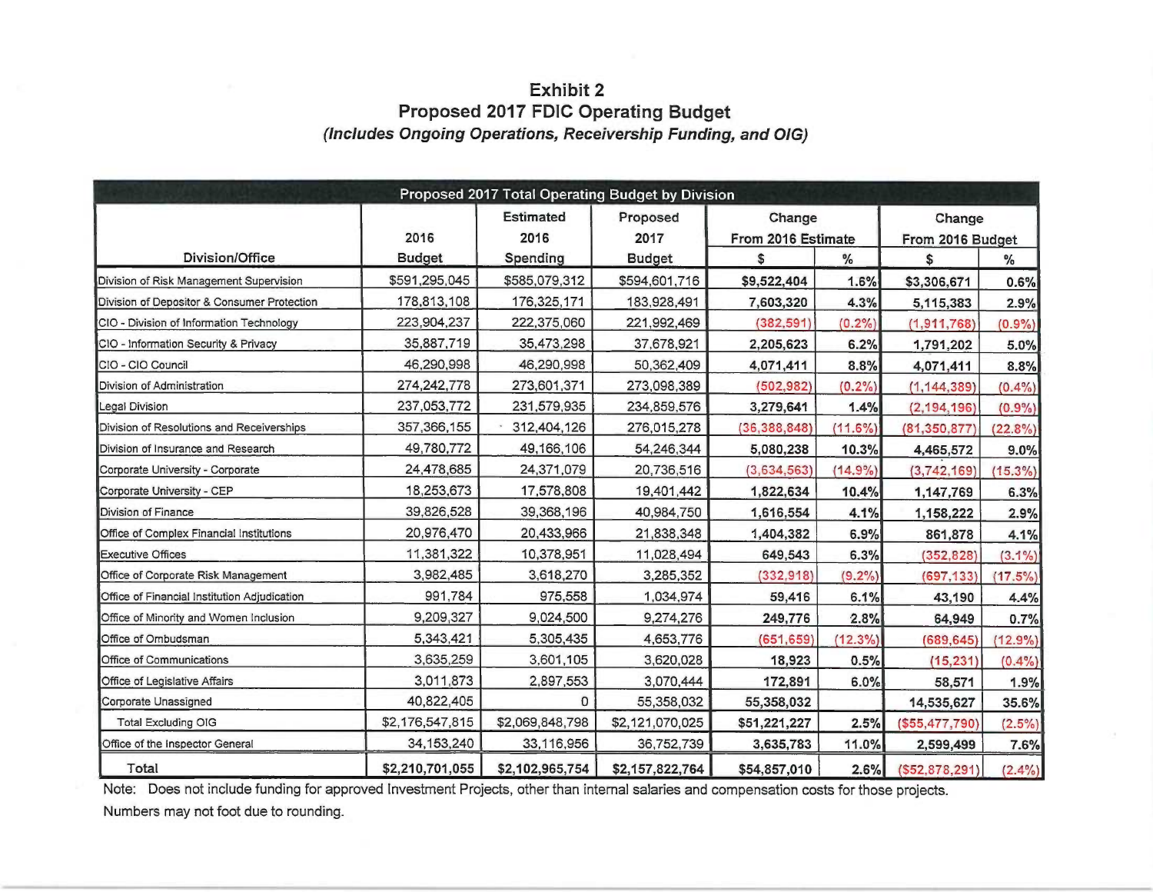#### **Exhibit 2 Proposed 2017 FDIC Operating Budget** (Includes Ongoing Operations, Receivership Funding, and OIG)

| Proposed 2017 Total Operating Budget by Division |                 |                          |                                      |                              |            |                            |            |  |  |  |  |
|--------------------------------------------------|-----------------|--------------------------|--------------------------------------|------------------------------|------------|----------------------------|------------|--|--|--|--|
|                                                  | 2016            | <b>Estimated</b><br>2016 | Proposed<br>2017                     | Change<br>From 2016 Estimate |            | Change<br>From 2016 Budget |            |  |  |  |  |
| <b>Division/Office</b>                           | <b>Budget</b>   | Spending                 | $\frac{1}{6}$<br><b>Budget</b><br>\$ |                              | \$         | $\frac{1}{2}$              |            |  |  |  |  |
| Division of Risk Management Supervision          | \$591,295,045   | \$585,079,312            | \$594,601,716                        | \$9,522,404                  | 1.6%       | \$3,306,671                | 0.6%       |  |  |  |  |
| Division of Depositor & Consumer Protection      | 178,813,108     | 176,325,171              | 183,928,491                          | 7,603,320                    | 4.3%       | 5,115,383                  | 2.9%       |  |  |  |  |
| CIO - Division of Information Technology         | 223,904,237     | 222,375,060              | 221,992,469                          | (382, 591)                   | (0.2%      | (1, 911, 768)              | $(0.9\%)$  |  |  |  |  |
| CIO - Information Security & Privacy             | 35,887,719      | 35,473,298               | 37,678,921                           | 2,205,623                    | 6.2%       | 1,791,202                  | 5.0%       |  |  |  |  |
| CIO - CIO Council                                | 46,290,998      | 46,290,998               | 50,362,409                           | 4,071,411                    | 8.8%       | 4,071,411                  | 8.8%       |  |  |  |  |
| Division of Administration                       | 274,242,778     | 273,601,371              | 273,098,389                          | (502, 982)                   | (0.2%)     | (1, 144, 389)              | $(0.4\%)$  |  |  |  |  |
| Legal Division                                   | 237,053,772     | 231,579,935              | 234,859,576                          | 3,279,641                    | 1.4%       | (2, 194, 196)              | (0.9%      |  |  |  |  |
| Division of Resolutions and Receiverships        | 357,366,155     | 312,404,126              | 276,015,278                          | (36, 388, 848)               | $(11.6\%)$ | (81, 350, 877)             | $(22.8\%)$ |  |  |  |  |
| Division of Insurance and Research               | 49,780,772      | 49,166,106               | 54,246,344                           | 5,080,238                    | 10.3%      | 4,465,572                  | 9.0%       |  |  |  |  |
| Corporate University - Corporate                 | 24,478,685      | 24,371,079               | 20,736,516                           | (3,634,563)                  | $(14.9\%)$ | (3,742,169)                | $(15.3\%)$ |  |  |  |  |
| Corporate University - CEP                       | 18,253,673      | 17,578,808               | 19,401,442                           | 1,822,634                    | 10.4%      | 1,147,769                  | 6.3%       |  |  |  |  |
| Division of Finance                              | 39,826,528      | 39,368,196               | 40,984,750                           | 1,616,554                    | 4.1%       | 1,158,222                  | 2.9%       |  |  |  |  |
| Office of Complex Financial Institutions         | 20,976,470      | 20,433,966               | 21,838,348                           | 1,404,382                    | 6.9%       | 861,878                    | 4.1%       |  |  |  |  |
| <b>Executive Offices</b>                         | 11,381,322      | 10,378,951               | 11,028,494                           | 649,543                      | 6.3%       | (352, 828)                 | $(3.1\%)$  |  |  |  |  |
| Office of Corporate Risk Management              | 3,982,485       | 3,618,270                | 3,285,352                            | (332, 918)                   | (9.2%)     | (697, 133)                 | $(17.5\%)$ |  |  |  |  |
| Office of Financial Institution Adjudication     | 991,784         | 975,558                  | 1,034,974                            | 59,416                       | 6.1%       | 43,190                     | 4.4%       |  |  |  |  |
| Office of Minority and Women Inclusion           | 9,209,327       | 9,024,500                | 9,274,276                            | 249,776                      | 2.8%       | 64,949                     | 0.7%       |  |  |  |  |
| Office of Ombudsman                              | 5,343,421       | 5,305,435                | 4,653,776                            | (651, 659)                   | $(12.3\%)$ | (689, 645)                 | $(12.9\%)$ |  |  |  |  |
| Office of Communications                         | 3,635,259       | 3,601,105                | 3,620,028                            | 18,923                       | 0.5%       | (15, 231)                  | $(0.4\%)$  |  |  |  |  |
| Office of Legislative Affairs                    | 3,011,873       | 2,897,553                | 3,070,444                            | 172,891                      | 6.0%       | 58,571                     | 1.9%       |  |  |  |  |
| Corporate Unassigned                             | 40,822,405      | 0                        | 55,358,032                           | 55,358,032                   |            | 14,535,627                 | 35.6%      |  |  |  |  |
| <b>Total Excluding OIG</b>                       | \$2,176,547,815 | \$2,069,848,798          | \$2,121,070,025                      | \$51,221,227                 | 2.5%       | (\$55,477,790)             | $(2.5\%)$  |  |  |  |  |
| Office of the Inspector General                  | 34, 153, 240    | 33,116,956               | 36,752,739                           | 3,635,783                    | 11.0%      | 2,599,499                  | 7.6%       |  |  |  |  |
| Total                                            | \$2,210,701,055 | \$2,102,965,754          | \$2,157,822,764                      | \$54,857,010                 | 2.6%       | ( \$52,878,291)            | $(2.4\%)$  |  |  |  |  |

Note: Does not include funding for approved Investment Projects, other than internal salaries and compensation costs for those projects.

Numbers may not foot due to rounding.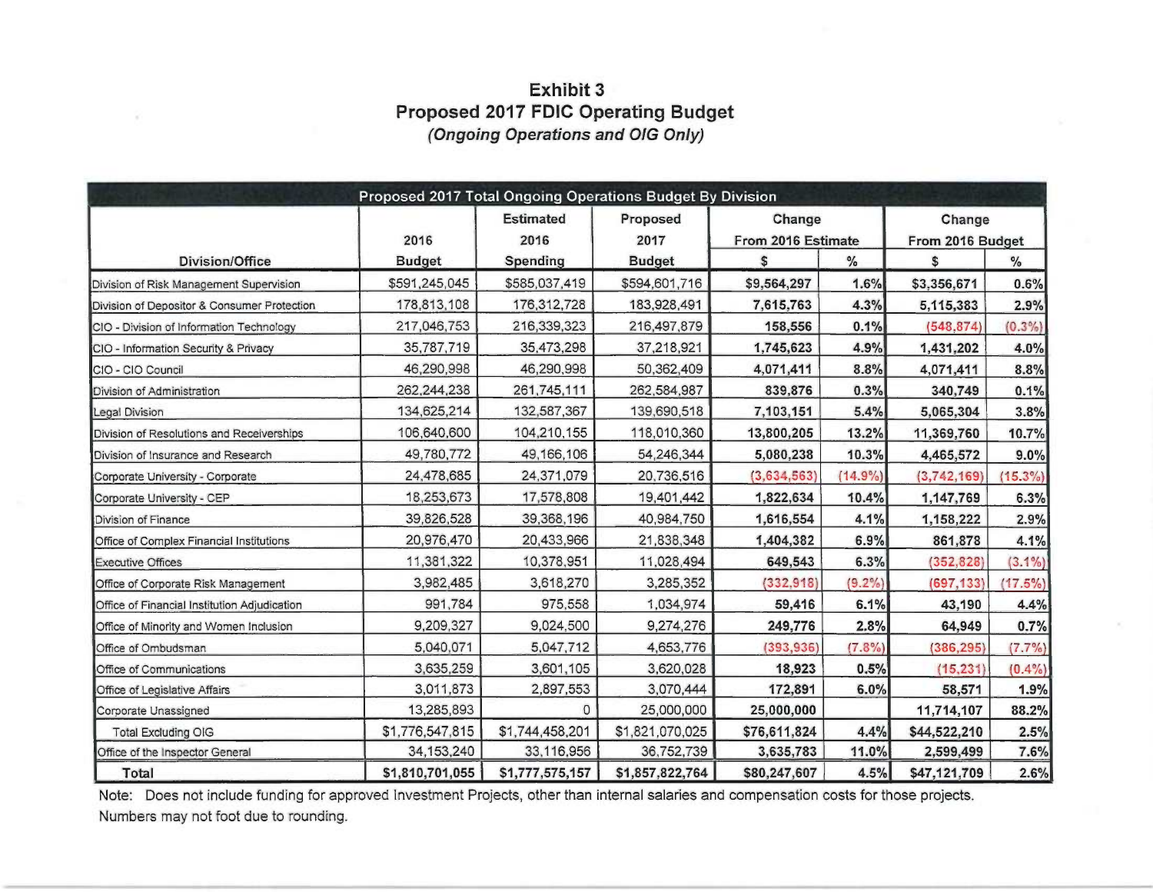### **Exhibit 3** Proposed 2017 FDIC Operating Budget (Ongoing Operations and OIG Only)

|                                              | Proposed 2017 Total Ongoing Operations Budget By Division |                          |                  |                              |               |                            |               |
|----------------------------------------------|-----------------------------------------------------------|--------------------------|------------------|------------------------------|---------------|----------------------------|---------------|
|                                              | 2016                                                      | <b>Estimated</b><br>2016 | Proposed<br>2017 | Change<br>From 2016 Estimate |               | Change<br>From 2016 Budget |               |
| <b>Division/Office</b>                       | <b>Budget</b>                                             | Spending                 | <b>Budget</b>    | \$                           | $\frac{1}{6}$ | $\mathfrak{s}$             | $\frac{0}{0}$ |
| Division of Risk Management Supervision      | \$591,245,045                                             | \$585,037,419            | \$594,601,716    | \$9,564,297                  | 1.6%          | \$3,356,671                | 0.6%          |
| Division of Depositor & Consumer Protection  | 178,813,108                                               | 176,312,728              | 183,928,491      | 7,615,763                    | 4.3%          | 5,115,383                  | 2.9%          |
| CIO - Division of Information Technology     | 217,046,753                                               | 216,339,323              | 216,497,879      | 158,556                      | 0.1%          | (548, 874)                 | (0.3%         |
| CIO - Information Security & Privacy         | 35,787,719                                                | 35,473,298               | 37,218,921       | 1,745,623                    | 4.9%          | 1,431,202                  | 4.0%          |
| CIO - CIO Council                            | 46,290,998                                                | 46,290,998               | 50,362,409       | 4,071,411                    | 8.8%          | 4,071,411                  | 8.8%          |
| Division of Administration                   | 262,244,238                                               | 261,745,111              | 262,584,987      | 839,876                      | 0.3%          | 340,749                    | 0.1%          |
| Legal Division                               | 134,625,214                                               | 132,587,367              | 139,690,518      | 7,103,151                    | 5.4%          | 5,065,304                  | 3.8%          |
| Division of Resolutions and Receiverships    | 106,640,600                                               | 104,210,155              | 118,010,360      | 13,800,205                   | 13.2%         | 11,369,760                 | 10.7%         |
| Division of Insurance and Research           | 49,780,772                                                | 49,166,106               | 54,246,344       | 5,080,238                    | 10.3%         | 4,465,572                  | 9.0%          |
| Corporate University - Corporate             | 24,478,685                                                | 24,371,079               | 20,736,516       | (3,634,563)                  | $(14.9\%)$    | (3,742,169)                | $(15.3\%)$    |
| Corporate University - CEP                   | 18,253,673                                                | 17,578,808               | 19,401,442       | 1,822,634                    | 10.4%         | 1,147,769                  | 6.3%          |
| Division of Finance                          | 39,826,528                                                | 39,368,196               | 40,984,750       | 1,616,554                    | 4.1%          | 1,158,222                  | 2.9%          |
| Office of Complex Financial Institutions     | 20,976,470                                                | 20,433,966               | 21,838,348       | 1,404,382                    | 6.9%          | 861,878                    | 4.1%          |
| <b>Executive Offices</b>                     | 11,381,322                                                | 10,378,951               | 11,028,494       | 649,543                      | 6.3%          | (352, 828)                 | $(3.1\%)$     |
| Office of Corporate Risk Management          | 3,982,485                                                 | 3,618,270                | 3,285,352        | (332, 918)                   | $(9.2\%)$     | (697, 133)                 | $(17.5\%)$    |
| Office of Financial Institution Adjudication | 991,784                                                   | 975,558                  | 1,034,974        | 59,416                       | 6.1%          | 43,190                     | 4.4%          |
| Office of Minority and Women Inclusion       | 9,209,327                                                 | 9,024,500                | 9,274,276        | 249,776                      | 2.8%          | 64,949                     | 0.7%          |
| Office of Ombudsman                          | 5,040,071                                                 | 5,047,712                | 4,653,776        | (393, 936)                   | (7.3%)        | (386, 295)                 | $(7.7\%)$     |
| Office of Communications                     | 3,635,259                                                 | 3,601,105                | 3,620,028        | 18,923                       | 0.5%          | (15, 231)                  | $(0.4\%)$     |
| Office of Legislative Affairs                | 3,011,873                                                 | 2,897,553                | 3,070,444        | 172,891                      | 6.0%          | 58,571                     | 1.9%          |
| Corporate Unassigned                         | 13,285,893                                                | $\circ$                  | 25,000,000       | 25,000,000                   |               | 11,714,107                 | 88.2%         |
| <b>Total Excluding OIG</b>                   | \$1,776,547,815                                           | \$1,744,458,201          | \$1,821,070,025  | \$76,611,824                 | 4.4%          | \$44,522,210               | 2.5%          |
| Office of the Inspector General              | 34, 153, 240                                              | 33,116,956               | 36,752,739       | 3,635,783                    | 11.0%         | 2,599,499                  | 7.6%          |
| <b>Total</b>                                 | \$1,810,701,055                                           | \$1,777,575,157          | \$1,857,822,764  | \$80,247,607                 | 4.5%          | \$47,121,709               | 2.6%          |

Note: Does not include funding for approved Investment Projects, other than internal salaries and compensation costs for those projects. Numbers may not foot due to rounding.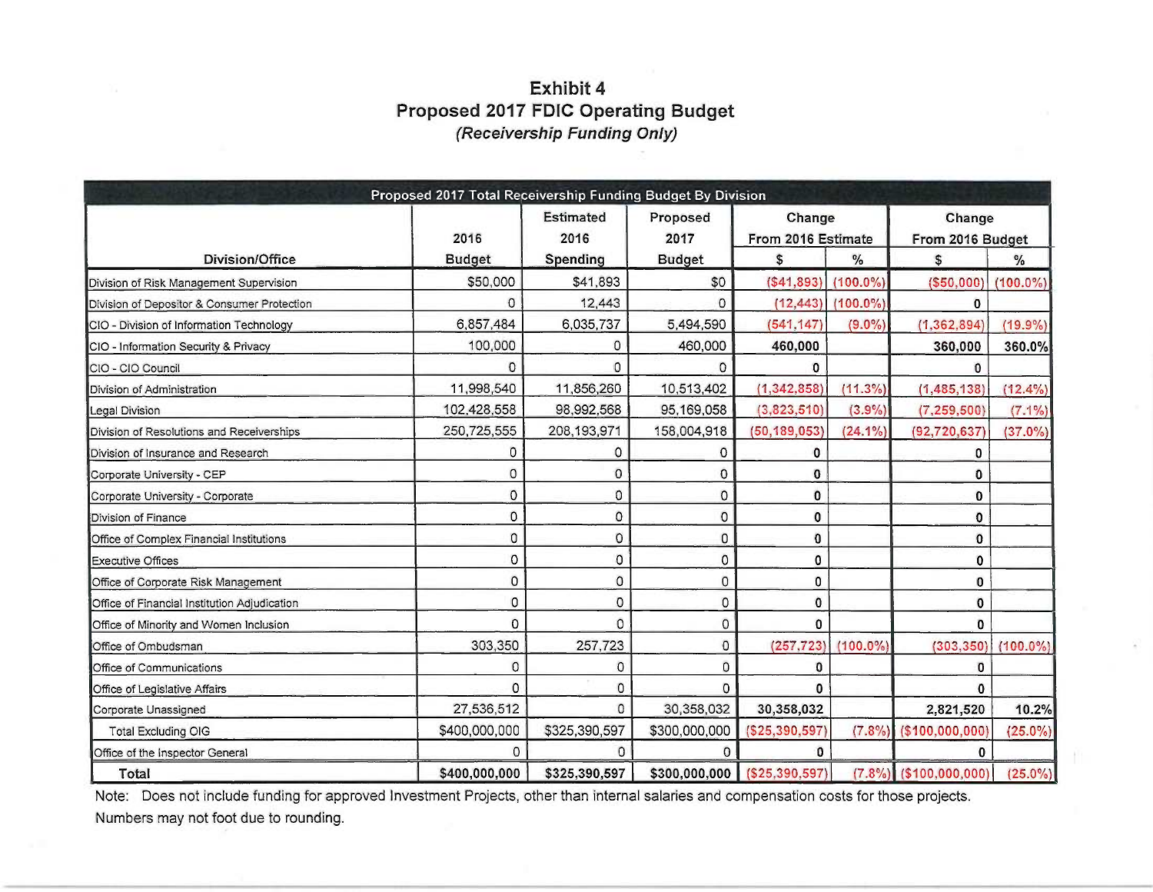## **Exhibit 4** Proposed 2017 FDIC Operating Budget (Receivership Funding Only)

|                                              | Proposed 2017 Total Receivership Funding Budget By Division |                          |                  |                              |               |                            |               |
|----------------------------------------------|-------------------------------------------------------------|--------------------------|------------------|------------------------------|---------------|----------------------------|---------------|
|                                              | 2016                                                        | <b>Estimated</b><br>2016 | Proposed<br>2017 | Change<br>From 2016 Estimate |               | Change<br>From 2016 Budget |               |
| Division/Office                              | <b>Budget</b>                                               | Spending                 | <b>Budget</b>    | \$                           | $\frac{0}{6}$ | \$                         | $\frac{9}{6}$ |
| Division of Risk Management Supervision      | \$50,000                                                    | \$41,893                 | \$0              | (S41, 893)                   | $(100.0\%)$   | (\$50,000)                 | $(100.0\%)$   |
| Division of Depositor & Consumer Protection  | O                                                           | 12,443                   | $\Omega$         | (12, 443)                    | $(100.0\%)$   | $\Omega$                   |               |
| CIO - Division of Information Technology     | 6,857,484                                                   | 6,035,737                | 5,494,590        | (541, 147)                   | $(9.0\%)$     | (1, 362, 894)              | $(19.9\%)$    |
| CIO - Information Security & Privacy         | 100,000                                                     | 0                        | 460,000          | 460,000                      |               | 360,000                    | 360.0%        |
| CIO - CIO Council                            | O                                                           | 0                        | $\Omega$         | $\Omega$                     |               |                            |               |
| Division of Administration                   | 11,998,540                                                  | 11,856,260               | 10,513,402       | (1, 342, 858)                | $(11.3\%)$    | (1, 485, 138)              | $(12.4\%)$    |
| <b>Legal Division</b>                        | 102,428,558                                                 | 98,992,568               | 95,169,058       | (3,823,510)                  | (3.9%)        | (7, 259, 500)              | $(7.1\%)$     |
| Division of Resolutions and Receiverships    | 250,725,555                                                 | 208, 193, 971            | 158,004,918      | (50, 189, 053)               | $(24.1\%)$    | (92, 720, 637)             | $(37.0\%)$    |
| Division of Insurance and Research           | 0                                                           | 0                        | $\Omega$         | 0                            |               | 0                          |               |
| Corporate University - CEP                   | 0                                                           | 0                        | $\mathbf 0$      | 0                            |               | 0                          |               |
| Corporate University - Corporate             | $\Omega$                                                    | 0                        | $\circ$          | $\mathbf{0}$                 |               | $\bf{0}$                   |               |
| Division of Finance                          | 0                                                           | $\mathbf 0$              | 0                | 0                            |               | $\bf{0}$                   |               |
| Office of Complex Financial Institutions     | 0                                                           | 0                        | 0                | 0                            |               | $\mathbf 0$                |               |
| <b>Executive Offices</b>                     | 0                                                           | 0                        | 0                | 0                            |               | $\bf{0}$                   |               |
| Office of Corporate Risk Management          | 0                                                           | $\circ$                  | 0                | 0                            |               | 0                          |               |
| Office of Financial Institution Adjudication | 0                                                           | $\circ$                  | 0                | $\bf{0}$                     |               | 0                          |               |
| Office of Minority and Women Inclusion       | 0                                                           | $\Omega$                 | 0                | 0                            |               | 0                          |               |
| Office of Ombudsman                          | 303,350                                                     | 257,723                  | $\Omega$         | (257, 723)                   | $(100.0\%)$   | (303, 350)                 | $(100.0\%)$   |
| Office of Communications                     | 0                                                           | 0                        | 0                | 0                            |               | 0                          |               |
| Office of Legislative Affairs                | $\Omega$                                                    | 0                        | 0                | $\mathbf{0}$                 |               | $\bf{0}$                   |               |
| Corporate Unassigned                         | 27,536,512                                                  | $\Omega$                 | 30,358,032       | 30,358,032                   |               | 2,821,520                  | 10.2%         |
| <b>Total Excluding OIG</b>                   | \$400,000,000                                               | \$325,390,597            | \$300,000,000    | ( \$25, 390, 597)            | (7.8%)        | ( \$100,000,000)           | $(25.0\%)$    |
| Office of the Inspector General              | $\Omega$                                                    | $\Omega$                 | $\Omega$         | $\Omega$                     |               | $\mathbf{0}$               |               |
| Total                                        | \$400,000,000                                               | \$325,390,597            | \$300,000,000    | (S25, 390, 597)              |               | $(7.8\%)$ (\$100,000,000)  | $(25.0\%)$    |

Note: Does not include funding for approved Investment Projects, other than internal salaries and compensation costs for those projects. Numbers may not foot due to rounding.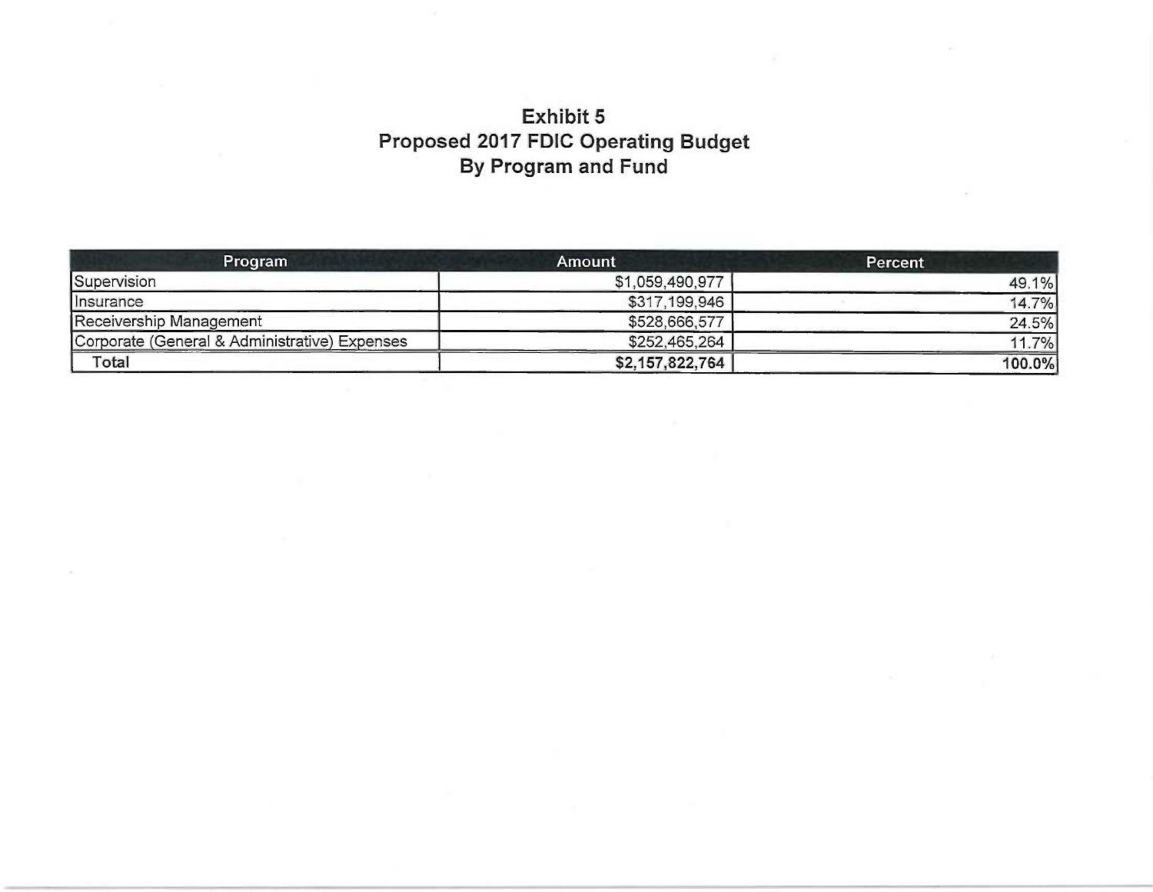# Exhibit 5 Proposed 2017 FDIC Operating Budget By Program and Fund

| <b>Program</b>                                | Amount          | <b>Percent</b> |
|-----------------------------------------------|-----------------|----------------|
| Supervision                                   | \$1,059,490,977 | 49.1%          |
| <i>Insurance</i>                              | \$317,199,946   | 14.7%          |
| Receivership Management                       | \$528,666,577   | 24.5%          |
| Corporate (General & Administrative) Expenses | \$252,465,264   | 11.7%          |
| Total                                         | \$2,157,822,764 | 100.0%         |